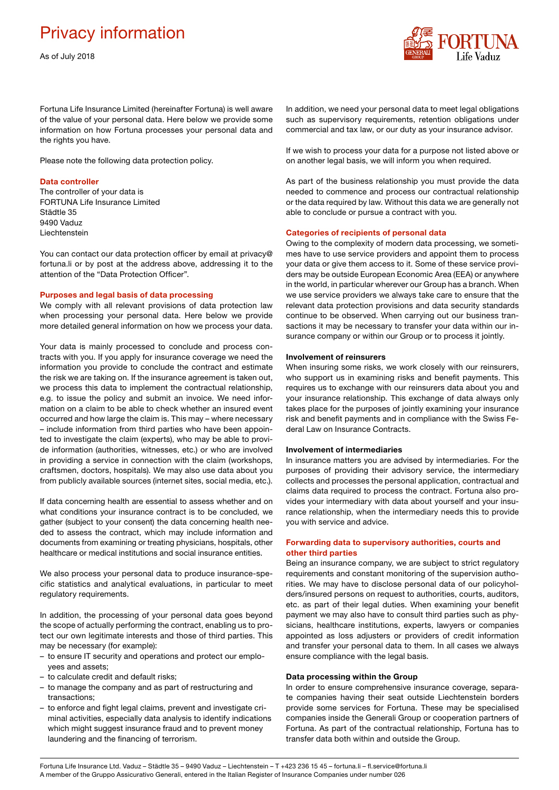# Privacy information

As of July 2018



Fortuna Life Insurance Limited (hereinafter Fortuna) is well aware of the value of your personal data. Here below we provide some information on how Fortuna processes your personal data and the rights you have.

Please note the following data protection policy.

# Data controller

The controller of your data is FORTUNA Life Insurance Limited Städtle 35 9490 Vaduz Liechtenstein

You can contact our data protection officer by email at privacy@ fortuna.li or by post at the address above, addressing it to the attention of the "Data Protection Officer".

## Purposes and legal basis of data processing

We comply with all relevant provisions of data protection law when processing your personal data. Here below we provide more detailed general information on how we process your data.

Your data is mainly processed to conclude and process contracts with you. If you apply for insurance coverage we need the information you provide to conclude the contract and estimate the risk we are taking on. If the insurance agreement is taken out, we process this data to implement the contractual relationship, e.g. to issue the policy and submit an invoice. We need information on a claim to be able to check whether an insured event occurred and how large the claim is. This may – where necessary – include information from third parties who have been appointed to investigate the claim (experts), who may be able to provide information (authorities, witnesses, etc.) or who are involved in providing a service in connection with the claim (workshops, craftsmen, doctors, hospitals). We may also use data about you from publicly available sources (internet sites, social media, etc.).

If data concerning health are essential to assess whether and on what conditions your insurance contract is to be concluded, we gather (subject to your consent) the data concerning health needed to assess the contract, which may include information and documents from examining or treating physicians, hospitals, other healthcare or medical institutions and social insurance entities.

We also process your personal data to produce insurance-specific statistics and analytical evaluations, in particular to meet regulatory requirements.

In addition, the processing of your personal data goes beyond the scope of actually performing the contract, enabling us to protect our own legitimate interests and those of third parties. This may be necessary (for example):

- to ensure IT security and operations and protect our employees and assets;
- to calculate credit and default risks;
- to manage the company and as part of restructuring and transactions;
- to enforce and fight legal claims, prevent and investigate criminal activities, especially data analysis to identify indications which might suggest insurance fraud and to prevent money laundering and the financing of terrorism.

In addition, we need your personal data to meet legal obligations such as supervisory requirements, retention obligations under commercial and tax law, or our duty as your insurance advisor.

If we wish to process your data for a purpose not listed above or on another legal basis, we will inform you when required.

As part of the business relationship you must provide the data needed to commence and process our contractual relationship or the data required by law. Without this data we are generally not able to conclude or pursue a contract with you.

#### Categories of recipients of personal data

Owing to the complexity of modern data processing, we sometimes have to use service providers and appoint them to process your data or give them access to it. Some of these service providers may be outside European Economic Area (EEA) or anywhere in the world, in particular wherever our Group has a branch. When we use service providers we always take care to ensure that the relevant data protection provisions and data security standards continue to be observed. When carrying out our business transactions it may be necessary to transfer your data within our insurance company or within our Group or to process it jointly.

#### Involvement of reinsurers

When insuring some risks, we work closely with our reinsurers, who support us in examining risks and benefit payments. This requires us to exchange with our reinsurers data about you and your insurance relationship. This exchange of data always only takes place for the purposes of jointly examining your insurance risk and benefit payments and in compliance with the Swiss Federal Law on Insurance Contracts.

# Involvement of intermediaries

In insurance matters you are advised by intermediaries. For the purposes of providing their advisory service, the intermediary collects and processes the personal application, contractual and claims data required to process the contract. Fortuna also provides your intermediary with data about yourself and your insurance relationship, when the intermediary needs this to provide you with service and advice.

# Forwarding data to supervisory authorities, courts and other third parties

Being an insurance company, we are subject to strict regulatory requirements and constant monitoring of the supervision authorities. We may have to disclose personal data of our policyholders/insured persons on request to authorities, courts, auditors, etc. as part of their legal duties. When examining your benefit payment we may also have to consult third parties such as physicians, healthcare institutions, experts, lawyers or companies appointed as loss adjusters or providers of credit information and transfer your personal data to them. In all cases we always ensure compliance with the legal basis.

# Data processing within the Group

In order to ensure comprehensive insurance coverage, separate companies having their seat outside Liechtenstein borders provide some services for Fortuna. These may be specialised companies inside the Generali Group or cooperation partners of Fortuna. As part of the contractual relationship, Fortuna has to transfer data both within and outside the Group.